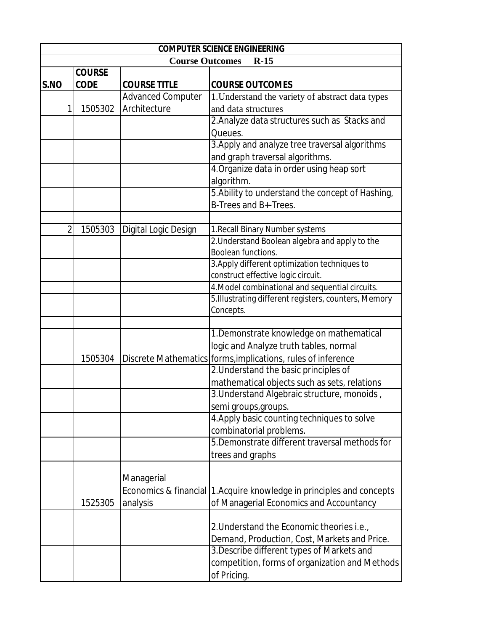| <b>COMPUTER SCIENCE ENGINEERING</b> |               |                          |                                                                         |
|-------------------------------------|---------------|--------------------------|-------------------------------------------------------------------------|
|                                     |               | <b>Course Outcomes</b>   | $R-15$                                                                  |
|                                     | <b>COURSE</b> |                          |                                                                         |
| S.NO                                | <b>CODE</b>   | <b>COURSE TITLE</b>      | <b>COURSE OUTCOMES</b>                                                  |
|                                     |               | <b>Advanced Computer</b> | 1. Understand the variety of abstract data types                        |
|                                     | 1505302       | Architecture             | and data structures                                                     |
|                                     |               |                          | 2. Analyze data structures such as Stacks and                           |
|                                     |               |                          | Queues.                                                                 |
|                                     |               |                          | 3. Apply and analyze tree traversal algorithms                          |
|                                     |               |                          | and graph traversal algorithms.                                         |
|                                     |               |                          | 4. Organize data in order using heap sort                               |
|                                     |               |                          | algorithm.                                                              |
|                                     |               |                          | 5. Ability to understand the concept of Hashing,                        |
|                                     |               |                          | B-Trees and B+-Trees.                                                   |
|                                     |               |                          |                                                                         |
| $\overline{2}$                      | 1505303       | Digital Logic Design     | 1. Recall Binary Number systems                                         |
|                                     |               |                          | 2. Understand Boolean algebra and apply to the                          |
|                                     |               |                          | Boolean functions.                                                      |
|                                     |               |                          | 3. Apply different optimization techniques to                           |
|                                     |               |                          | construct effective logic circuit.                                      |
|                                     |               |                          | 4. Model combinational and sequential circuits.                         |
|                                     |               |                          | 5. Illustrating different registers, counters, Memory                   |
|                                     |               |                          | Concepts.                                                               |
|                                     |               |                          |                                                                         |
|                                     |               |                          | 1. Demonstrate knowledge on mathematical                                |
|                                     |               |                          | logic and Analyze truth tables, normal                                  |
|                                     | 1505304       |                          | Discrete Mathematics forms, implications, rules of inference            |
|                                     |               |                          | 2. Understand the basic principles of                                   |
|                                     |               |                          | mathematical objects such as sets, relations                            |
|                                     |               |                          | 3. Understand Algebraic structure, monoids,                             |
|                                     |               |                          | semi groups, groups.                                                    |
|                                     |               |                          | 4. Apply basic counting techniques to solve                             |
|                                     |               |                          | combinatorial problems.                                                 |
|                                     |               |                          | 5. Demonstrate different traversal methods for                          |
|                                     |               |                          | trees and graphs                                                        |
|                                     |               |                          |                                                                         |
|                                     |               | Managerial               |                                                                         |
|                                     |               |                          | Economics & financial   1. Acquire knowledge in principles and concepts |
|                                     | 1525305       | analysis                 | of Managerial Economics and Accountancy                                 |
|                                     |               |                          |                                                                         |
|                                     |               |                          | 2. Understand the Economic theories i.e.,                               |
|                                     |               |                          | Demand, Production, Cost, Markets and Price.                            |
|                                     |               |                          | 3. Describe different types of Markets and                              |
|                                     |               |                          | competition, forms of organization and Methods                          |
|                                     |               |                          | of Pricing.                                                             |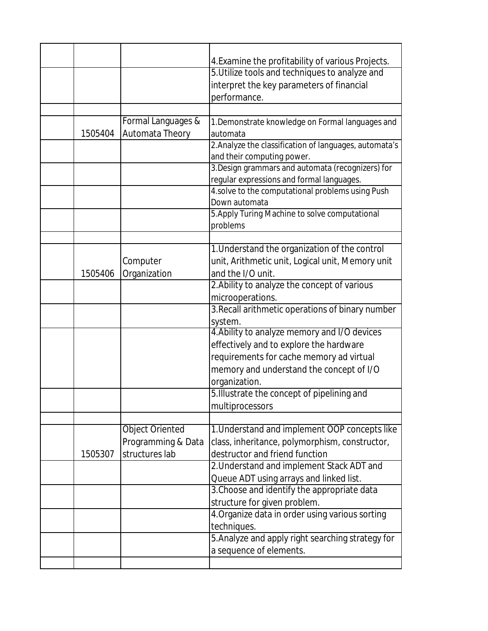|         |                        | 4. Examine the profitability of various Projects.          |
|---------|------------------------|------------------------------------------------------------|
|         |                        | 5. Utilize tools and techniques to analyze and             |
|         |                        | interpret the key parameters of financial                  |
|         |                        | performance.                                               |
|         |                        |                                                            |
|         | Formal Languages &     | 1. Demonstrate knowledge on Formal languages and           |
| 1505404 | Automata Theory        | automata                                                   |
|         |                        | 2. Analyze the classification of languages, automata's     |
|         |                        | and their computing power.                                 |
|         |                        | 3. Design grammars and automata (recognizers) for          |
|         |                        | regular expressions and formal languages.                  |
|         |                        | 4.solve to the computational problems using Push           |
|         |                        | Down automata                                              |
|         |                        | 5. Apply Turing Machine to solve computational<br>problems |
|         |                        |                                                            |
|         |                        | 1. Understand the organization of the control              |
|         | Computer               | unit, Arithmetic unit, Logical unit, Memory unit           |
| 1505406 | Organization           | and the I/O unit.                                          |
|         |                        | 2. Ability to analyze the concept of various               |
|         |                        | microoperations.                                           |
|         |                        | 3. Recall arithmetic operations of binary number           |
|         |                        | system.                                                    |
|         |                        | 4. Ability to analyze memory and I/O devices               |
|         |                        | effectively and to explore the hardware                    |
|         |                        | requirements for cache memory ad virtual                   |
|         |                        | memory and understand the concept of I/O                   |
|         |                        | organization.                                              |
|         |                        | 5. Illustrate the concept of pipelining and                |
|         |                        | multiprocessors                                            |
|         |                        |                                                            |
|         | <b>Object Oriented</b> | 1. Understand and implement OOP concepts like              |
|         | Programming & Data     | class, inheritance, polymorphism, constructor,             |
| 1505307 | structures lab         | destructor and friend function                             |
|         |                        | 2. Understand and implement Stack ADT and                  |
|         |                        | Queue ADT using arrays and linked list.                    |
|         |                        | 3. Choose and identify the appropriate data                |
|         |                        | structure for given problem.                               |
|         |                        | 4. Organize data in order using various sorting            |
|         |                        | techniques.                                                |
|         |                        | 5. Analyze and apply right searching strategy for          |
|         |                        | a sequence of elements.                                    |
|         |                        |                                                            |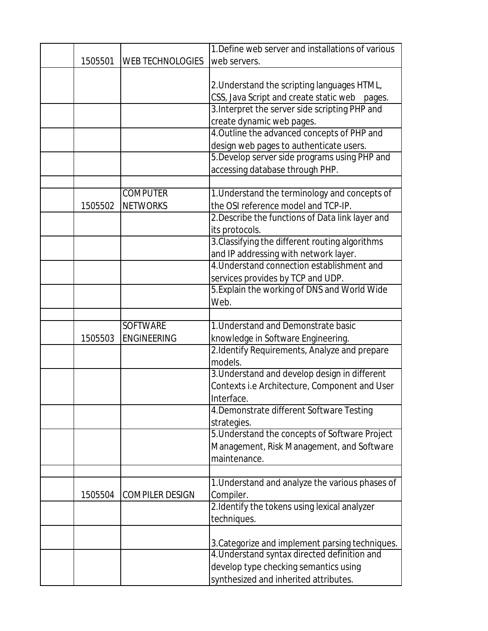| 1. Define web server and installations of various |
|---------------------------------------------------|
|                                                   |
|                                                   |
| 2. Understand the scripting languages HTML,       |
| CSS, Java Script and create static web pages.     |
| 3. Interpret the server side scripting PHP and    |
| create dynamic web pages.                         |
| 4. Outline the advanced concepts of PHP and       |
| design web pages to authenticate users.           |
| 5. Develop server side programs using PHP and     |
| accessing database through PHP.                   |
|                                                   |
| 1. Understand the terminology and concepts of     |
| the OSI reference model and TCP-IP.               |
| 2. Describe the functions of Data link layer and  |
|                                                   |
| 3. Classifying the different routing algorithms   |
| and IP addressing with network layer.             |
| 4. Understand connection establishment and        |
| services provides by TCP and UDP.                 |
| 5. Explain the working of DNS and World Wide      |
|                                                   |
|                                                   |
| 1. Understand and Demonstrate basic               |
| knowledge in Software Engineering.                |
| 2.Identify Requirements, Analyze and prepare      |
|                                                   |
| 3. Understand and develop design in different     |
| Contexts i.e Architecture, Component and User     |
|                                                   |
| 4. Demonstrate different Software Testing         |
|                                                   |
| 5. Understand the concepts of Software Project    |
| Management, Risk Management, and Software         |
|                                                   |
|                                                   |
| 1. Understand and analyze the various phases of   |
|                                                   |
| 2. Identify the tokens using lexical analyzer     |
|                                                   |
|                                                   |
| 3. Categorize and implement parsing techniques.   |
| 4. Understand syntax directed definition and      |
| develop type checking semantics using             |
| synthesized and inherited attributes.             |
|                                                   |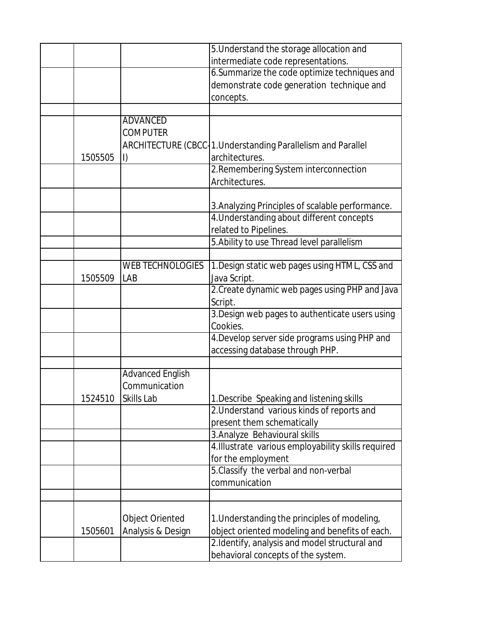|         |                         | 5. Understand the storage allocation and                     |
|---------|-------------------------|--------------------------------------------------------------|
|         |                         | intermediate code representations.                           |
|         |                         | 6. Summarize the code optimize techniques and                |
|         |                         | demonstrate code generation technique and                    |
|         |                         | concepts.                                                    |
|         |                         |                                                              |
|         | <b>ADVANCED</b>         |                                                              |
|         | <b>COMPUTER</b>         |                                                              |
|         |                         | ARCHITECTURE (CBCC 1. Understanding Parallelism and Parallel |
| 1505505 | I)                      | architectures.                                               |
|         |                         | 2. Remembering System interconnection                        |
|         |                         | Architectures.                                               |
|         |                         |                                                              |
|         |                         | 3. Analyzing Principles of scalable performance.             |
|         |                         | 4. Understanding about different concepts                    |
|         |                         | related to Pipelines.                                        |
|         |                         | 5. Ability to use Thread level parallelism                   |
|         |                         |                                                              |
|         | <b>WEB TECHNOLOGIES</b> | 1. Design static web pages using HTML, CSS and               |
| 1505509 | LAB                     | Java Script.                                                 |
|         |                         | 2. Create dynamic web pages using PHP and Java               |
|         |                         | Script.                                                      |
|         |                         | 3. Design web pages to authenticate users using              |
|         |                         | Cookies.                                                     |
|         |                         | 4. Develop server side programs using PHP and                |
|         |                         | accessing database through PHP.                              |
|         |                         |                                                              |
|         | <b>Advanced English</b> |                                                              |
|         | Communication           |                                                              |
| 1524510 | Skills Lab              | 1. Describe Speaking and listening skills                    |
|         |                         | 2. Understand various kinds of reports and                   |
|         |                         | present them schematically                                   |
|         |                         | 3. Analyze Behavioural skills                                |
|         |                         | 4. Illustrate various employability skills required          |
|         |                         | for the employment                                           |
|         |                         | 5. Classify the verbal and non-verbal                        |
|         |                         | communication                                                |
|         |                         |                                                              |
|         |                         |                                                              |
|         | <b>Object Oriented</b>  | 1. Understanding the principles of modeling,                 |
| 1505601 | Analysis & Design       | object oriented modeling and benefits of each.               |
|         |                         | 2.Identify, analysis and model structural and                |
|         |                         | behavioral concepts of the system.                           |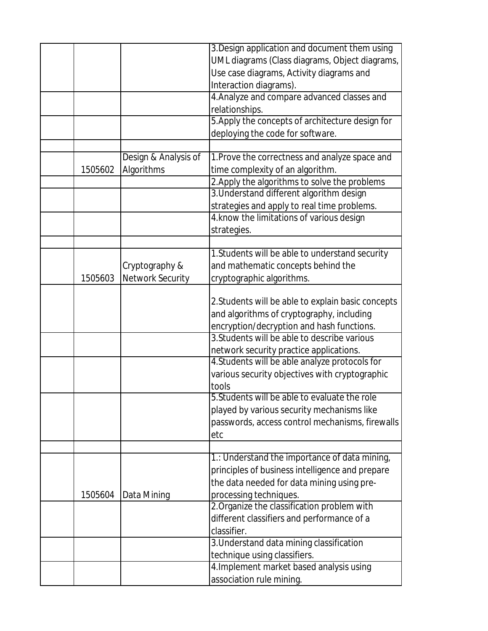|         |                         | 3. Design application and document them using      |
|---------|-------------------------|----------------------------------------------------|
|         |                         | UML diagrams (Class diagrams, Object diagrams,     |
|         |                         | Use case diagrams, Activity diagrams and           |
|         |                         | Interaction diagrams).                             |
|         |                         | 4. Analyze and compare advanced classes and        |
|         |                         | relationships.                                     |
|         |                         | 5. Apply the concepts of architecture design for   |
|         |                         | deploying the code for software.                   |
|         |                         |                                                    |
|         | Design & Analysis of    | 1. Prove the correctness and analyze space and     |
| 1505602 | Algorithms              | time complexity of an algorithm.                   |
|         |                         | 2. Apply the algorithms to solve the problems      |
|         |                         | 3. Understand different algorithm design           |
|         |                         | strategies and apply to real time problems.        |
|         |                         | 4. know the limitations of various design          |
|         |                         | strategies.                                        |
|         |                         |                                                    |
|         |                         | 1. Students will be able to understand security    |
|         | Cryptography &          | and mathematic concepts behind the                 |
| 1505603 | <b>Network Security</b> | cryptographic algorithms.                          |
|         |                         |                                                    |
|         |                         | 2. Students will be able to explain basic concepts |
|         |                         | and algorithms of cryptography, including          |
|         |                         | encryption/decryption and hash functions.          |
|         |                         | 3. Students will be able to describe various       |
|         |                         | network security practice applications.            |
|         |                         | 4. Students will be able analyze protocols for     |
|         |                         | various security objectives with cryptographic     |
|         |                         | tools                                              |
|         |                         | 5. Students will be able to evaluate the role      |
|         |                         | played by various security mechanisms like         |
|         |                         | passwords, access control mechanisms, firewalls    |
|         |                         | etc                                                |
|         |                         |                                                    |
|         |                         | 1.: Understand the importance of data mining,      |
|         |                         | principles of business intelligence and prepare    |
|         |                         | the data needed for data mining using pre-         |
| 1505604 | Data Mining             | processing techniques.                             |
|         |                         | 2. Organize the classification problem with        |
|         |                         | different classifiers and performance of a         |
|         |                         | classifier.                                        |
|         |                         | 3. Understand data mining classification           |
|         |                         | technique using classifiers.                       |
|         |                         | 4. Implement market based analysis using           |
|         |                         | association rule mining.                           |
|         |                         |                                                    |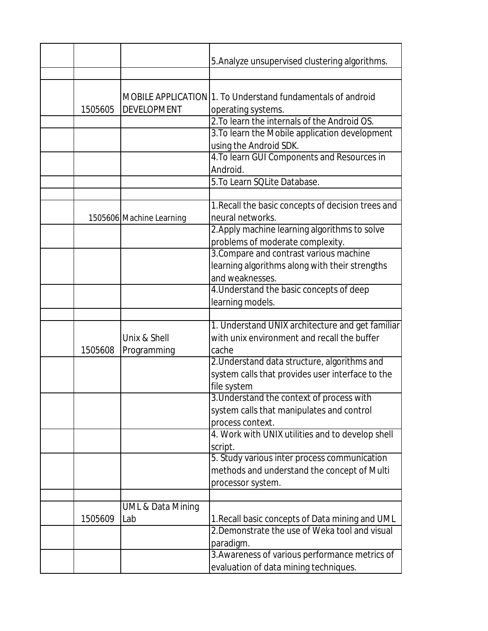|         |                                     | 5. Analyze unsupervised clustering algorithms.                                                               |
|---------|-------------------------------------|--------------------------------------------------------------------------------------------------------------|
|         |                                     |                                                                                                              |
| 1505605 | <b>DEVELOPMENT</b>                  | MOBILE APPLICATION 1. To Understand fundamentals of android<br>operating systems.                            |
|         |                                     | 2. To learn the internals of the Android OS.                                                                 |
|         |                                     | 3. To learn the Mobile application development<br>using the Android SDK.                                     |
|         |                                     | 4. To learn GUI Components and Resources in<br>Android.                                                      |
|         |                                     | 5. To Learn SQLite Database.                                                                                 |
|         |                                     |                                                                                                              |
|         | 1505606 Machine Learning            | 1. Recall the basic concepts of decision trees and<br>neural networks.                                       |
|         |                                     | 2. Apply machine learning algorithms to solve<br>problems of moderate complexity.                            |
|         |                                     | 3. Compare and contrast various machine<br>learning algorithms along with their strengths<br>and weaknesses. |
|         |                                     | 4. Understand the basic concepts of deep<br>learning models.                                                 |
|         |                                     |                                                                                                              |
|         |                                     |                                                                                                              |
|         | Unix & Shell                        | 1. Understand UNIX architecture and get familiar<br>with unix environment and recall the buffer              |
| 1505608 | Programming                         | cache                                                                                                        |
|         |                                     | 2. Understand data structure, algorithms and<br>system calls that provides user interface to the             |
|         |                                     | file system                                                                                                  |
|         |                                     | 3. Understand the context of process with<br>system calls that manipulates and control                       |
|         |                                     | process context.<br>4. Work with UNIX utilities and to develop shell                                         |
|         |                                     | script.                                                                                                      |
|         |                                     | 5. Study various inter process communication                                                                 |
|         |                                     | methods and understand the concept of Multi                                                                  |
|         |                                     | processor system.                                                                                            |
| 1505609 | <b>UML &amp; Data Mining</b><br>Lab | 1. Recall basic concepts of Data mining and UML                                                              |
|         |                                     | 2. Demonstrate the use of Weka tool and visual<br>paradigm.                                                  |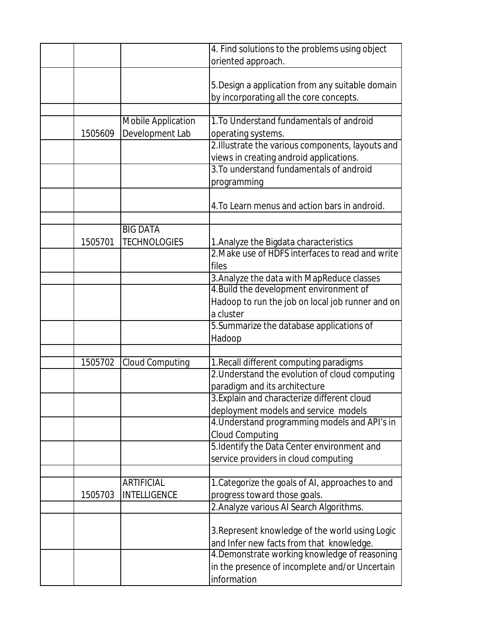|         |                                              | 4. Find solutions to the problems using object<br>oriented approach.                         |
|---------|----------------------------------------------|----------------------------------------------------------------------------------------------|
|         |                                              |                                                                                              |
|         |                                              | 5. Design a application from any suitable domain<br>by incorporating all the core concepts.  |
|         |                                              |                                                                                              |
| 1505609 | <b>Mobile Application</b><br>Development Lab | 1. To Understand fundamentals of android<br>operating systems.                               |
|         |                                              | 2. Illustrate the various components, layouts and<br>views in creating android applications. |
|         |                                              | 3. To understand fundamentals of android<br>programming                                      |
|         |                                              | 4. To Learn menus and action bars in android.                                                |
|         |                                              |                                                                                              |
|         | <b>BIG DATA</b>                              |                                                                                              |
| 1505701 | <b>TECHNOLOGIES</b>                          | 1. Analyze the Bigdata characteristics                                                       |
|         |                                              | 2. Make use of HDFS interfaces to read and write                                             |
|         |                                              | files                                                                                        |
|         |                                              | 3. Analyze the data with MapReduce classes                                                   |
|         |                                              | 4. Build the development environment of                                                      |
|         |                                              | Hadoop to run the job on local job runner and on                                             |
|         |                                              | a cluster                                                                                    |
|         |                                              | 5. Summarize the database applications of                                                    |
|         |                                              | Hadoop                                                                                       |
|         |                                              |                                                                                              |
| 1505702 | <b>Cloud Computing</b>                       | 1. Recall different computing paradigms                                                      |
|         |                                              | 2. Understand the evolution of cloud computing<br>paradigm and its architecture              |
|         |                                              | 3. Explain and characterize different cloud                                                  |
|         |                                              | deployment models and service models                                                         |
|         |                                              | 4. Understand programming models and API's in                                                |
|         |                                              | <b>Cloud Computing</b>                                                                       |
|         |                                              | 5. Identify the Data Center environment and                                                  |
|         |                                              | service providers in cloud computing                                                         |
|         | <b>ARTIFICIAL</b>                            | 1. Categorize the goals of AI, approaches to and                                             |
| 1505703 | <b>INTELLIGENCE</b>                          | progress toward those goals.                                                                 |
|         |                                              | 2. Analyze various AI Search Algorithms.                                                     |
|         |                                              |                                                                                              |
|         |                                              | 3. Represent knowledge of the world using Logic<br>and Infer new facts from that knowledge.  |
|         |                                              | 4. Demonstrate working knowledge of reasoning                                                |
|         |                                              | in the presence of incomplete and/or Uncertain<br>information                                |
|         |                                              |                                                                                              |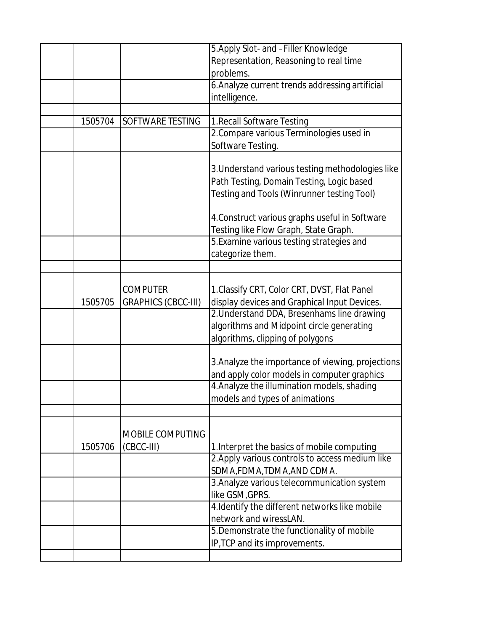|         |                            | 5. Apply Slot- and -Filler Knowledge              |
|---------|----------------------------|---------------------------------------------------|
|         |                            | Representation, Reasoning to real time            |
|         |                            | problems.                                         |
|         |                            | 6. Analyze current trends addressing artificial   |
|         |                            | intelligence.                                     |
|         |                            |                                                   |
| 1505704 | SOFTWARE TESTING           | 1. Recall Software Testing                        |
|         |                            | 2. Compare various Terminologies used in          |
|         |                            | Software Testing.                                 |
|         |                            |                                                   |
|         |                            | 3. Understand various testing methodologies like  |
|         |                            | Path Testing, Domain Testing, Logic based         |
|         |                            | Testing and Tools (Winrunner testing Tool)        |
|         |                            |                                                   |
|         |                            | 4. Construct various graphs useful in Software    |
|         |                            | Testing like Flow Graph, State Graph.             |
|         |                            | 5. Examine various testing strategies and         |
|         |                            | categorize them.                                  |
|         |                            |                                                   |
|         |                            |                                                   |
|         | <b>COMPUTER</b>            | 1. Classify CRT, Color CRT, DVST, Flat Panel      |
| 1505705 | <b>GRAPHICS (CBCC-III)</b> | display devices and Graphical Input Devices.      |
|         |                            | 2. Understand DDA, Bresenhams line drawing        |
|         |                            | algorithms and Midpoint circle generating         |
|         |                            | algorithms, clipping of polygons                  |
|         |                            |                                                   |
|         |                            | 3. Analyze the importance of viewing, projections |
|         |                            | and apply color models in computer graphics       |
|         |                            | 4. Analyze the illumination models, shading       |
|         |                            | models and types of animations                    |
|         |                            |                                                   |
|         | MOBILE COMPUTING           |                                                   |
| 1505706 | (CBCC-III)                 |                                                   |
|         |                            | 1. Interpret the basics of mobile computing       |
|         |                            | 2. Apply various controls to access medium like   |
|         |                            | SDMA, FDMA, TDMA, AND CDMA.                       |
|         |                            | 3. Analyze various telecommunication system       |
|         |                            | like GSM, GPRS.                                   |
|         |                            | 4. Identify the different networks like mobile    |
|         |                            | network and wiressLAN.                            |
|         |                            | 5. Demonstrate the functionality of mobile        |
|         |                            | IP, TCP and its improvements.                     |
|         |                            |                                                   |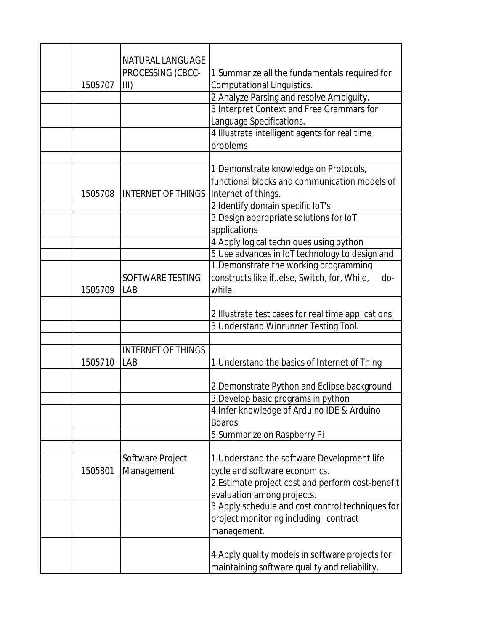| 1505707 | <b>NATURAL LANGUAGE</b><br>PROCESSING (CBCC-<br>III) | 1. Summarize all the fundamentals required for<br><b>Computational Linguistics.</b>                            |
|---------|------------------------------------------------------|----------------------------------------------------------------------------------------------------------------|
|         |                                                      | 2. Analyze Parsing and resolve Ambiguity.                                                                      |
|         |                                                      | 3. Interpret Context and Free Grammars for                                                                     |
|         |                                                      | Language Specifications.                                                                                       |
|         |                                                      | 4. Illustrate intelligent agents for real time                                                                 |
|         |                                                      | problems                                                                                                       |
|         |                                                      |                                                                                                                |
| 1505708 | <b>INTERNET OF THINGS</b>                            | 1. Demonstrate knowledge on Protocols,<br>functional blocks and communication models of<br>Internet of things. |
|         |                                                      | 2.Identify domain specific IoT's                                                                               |
|         |                                                      | 3. Design appropriate solutions for IoT                                                                        |
|         |                                                      | applications                                                                                                   |
|         |                                                      | 4. Apply logical techniques using python                                                                       |
|         |                                                      | 5. Use advances in IoT technology to design and                                                                |
|         |                                                      | 1. Demonstrate the working programming                                                                         |
|         | SOFTWARE TESTING                                     | constructs like ifelse, Switch, for, While,<br>do-                                                             |
| 1505709 | LAB                                                  | while.                                                                                                         |
|         |                                                      |                                                                                                                |
|         |                                                      | 2. Illustrate test cases for real time applications                                                            |
|         |                                                      | 3. Understand Winrunner Testing Tool.                                                                          |
|         |                                                      |                                                                                                                |
|         | <b>INTERNET OF THINGS</b>                            |                                                                                                                |
| 1505710 | LAB                                                  | 1. Understand the basics of Internet of Thing                                                                  |
|         |                                                      | 2. Demonstrate Python and Eclipse background                                                                   |
|         |                                                      | 3. Develop basic programs in python                                                                            |
|         |                                                      | 4. Infer knowledge of Arduino IDE & Arduino                                                                    |
|         |                                                      | <b>Boards</b>                                                                                                  |
|         |                                                      | 5. Summarize on Raspberry Pi                                                                                   |
|         |                                                      |                                                                                                                |
|         | Software Project                                     | 1. Understand the software Development life                                                                    |
| 1505801 | Management                                           | cycle and software economics.                                                                                  |
|         |                                                      | 2. Estimate project cost and perform cost-benefit                                                              |
|         |                                                      | evaluation among projects.                                                                                     |
|         |                                                      | 3. Apply schedule and cost control techniques for                                                              |
|         |                                                      | project monitoring including contract                                                                          |
|         |                                                      | management.                                                                                                    |
|         |                                                      | 4. Apply quality models in software projects for<br>maintaining software quality and reliability.              |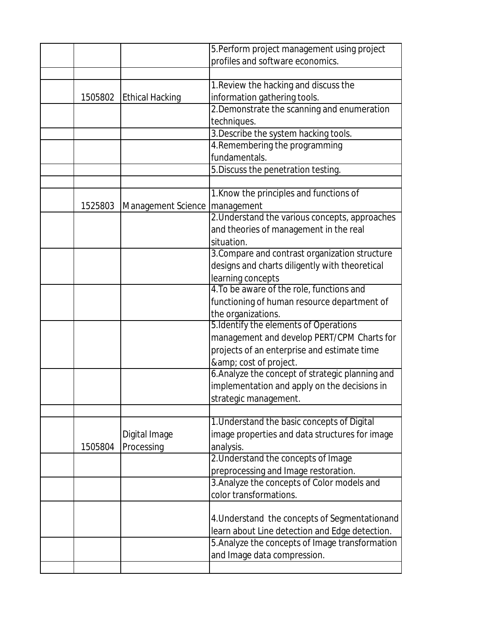|         |                        | 5. Perform project management using project      |
|---------|------------------------|--------------------------------------------------|
|         |                        | profiles and software economics.                 |
|         |                        |                                                  |
|         |                        | 1. Review the hacking and discuss the            |
| 1505802 | <b>Ethical Hacking</b> | information gathering tools.                     |
|         |                        | 2. Demonstrate the scanning and enumeration      |
|         |                        | techniques.                                      |
|         |                        | 3. Describe the system hacking tools.            |
|         |                        | 4. Remembering the programming                   |
|         |                        | fundamentals.                                    |
|         |                        | 5. Discuss the penetration testing.              |
|         |                        |                                                  |
|         |                        | 1. Know the principles and functions of          |
| 1525803 | Management Science     | management                                       |
|         |                        | 2. Understand the various concepts, approaches   |
|         |                        | and theories of management in the real           |
|         |                        | situation.                                       |
|         |                        | 3. Compare and contrast organization structure   |
|         |                        | designs and charts diligently with theoretical   |
|         |                        | learning concepts                                |
|         |                        | 4. To be aware of the role, functions and        |
|         |                        | functioning of human resource department of      |
|         |                        | the organizations.                               |
|         |                        | 5. Identify the elements of Operations           |
|         |                        | management and develop PERT/CPM Charts for       |
|         |                        | projects of an enterprise and estimate time      |
|         |                        | & cost of project.                               |
|         |                        | 6. Analyze the concept of strategic planning and |
|         |                        | implementation and apply on the decisions in     |
|         |                        | strategic management.                            |
|         |                        |                                                  |
|         |                        | 1. Understand the basic concepts of Digital      |
|         | Digital Image          | image properties and data structures for image   |
| 1505804 | Processing             | analysis.                                        |
|         |                        | 2. Understand the concepts of Image              |
|         |                        | preprocessing and Image restoration.             |
|         |                        | 3. Analyze the concepts of Color models and      |
|         |                        | color transformations.                           |
|         |                        |                                                  |
|         |                        | 4. Understand the concepts of Segmentationand    |
|         |                        | learn about Line detection and Edge detection.   |
|         |                        | 5. Analyze the concepts of Image transformation  |
|         |                        | and Image data compression.                      |
|         |                        |                                                  |